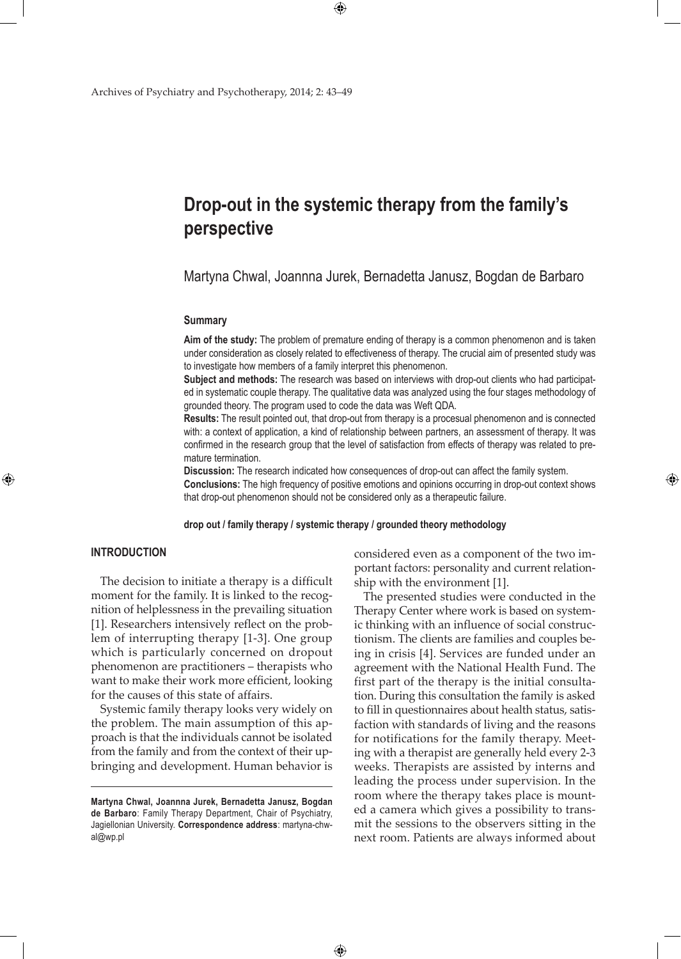# **Drop-out in the systemic therapy from the family's perspective**

 $\bigoplus$ 

Martyna Chwal, Joannna Jurek, Bernadetta Janusz, Bogdan de Barbaro

# **Summary**

**Aim of the study:** The problem of premature ending of therapy is a common phenomenon and is taken under consideration as closely related to effectiveness of therapy. The crucial aim of presented study was to investigate how members of a family interpret this phenomenon.

**Subject and methods:** The research was based on interviews with drop-out clients who had participated in systematic couple therapy. The qualitative data was analyzed using the four stages methodology of grounded theory. The program used to code the data was Weft QDA.

**Results:** The result pointed out, that drop-out from therapy is a procesual phenomenon and is connected with: a context of application, a kind of relationship between partners, an assessment of therapy. It was confirmed in the research group that the level of satisfaction from effects of therapy was related to premature termination.

**Discussion:** The research indicated how consequences of drop-out can affect the family system. **Conclusions:** The high frequency of positive emotions and opinions occurring in drop-out context shows that drop-out phenomenon should not be considered only as a therapeutic failure.

#### **drop out / family therapy / systemic therapy / grounded theory methodology**

 $\bigoplus$ 

## **Introduction**

⊕

The decision to initiate a therapy is a difficult moment for the family. It is linked to the recognition of helplessness in the prevailing situation [1]. Researchers intensively reflect on the problem of interrupting therapy [1-3]. One group which is particularly concerned on dropout phenomenon are practitioners – therapists who want to make their work more efficient, looking for the causes of this state of affairs.

Systemic family therapy looks very widely on the problem. The main assumption of this approach is that the individuals cannot be isolated from the family and from the context of their upbringing and development. Human behavior is

considered even as a component of the two important factors: personality and current relationship with the environment [1].

⊕

The presented studies were conducted in the Therapy Center where work is based on systemic thinking with an influence of social constructionism. The clients are families and couples being in crisis [4]. Services are funded under an agreement with the National Health Fund. The first part of the therapy is the initial consultation. During this consultation the family is asked to fill in questionnaires about health status, satisfaction with standards of living and the reasons for notifications for the family therapy. Meeting with a therapist are generally held every 2-3 weeks. Therapists are assisted by interns and leading the process under supervision. In the room where the therapy takes place is mounted a camera which gives a possibility to transmit the sessions to the observers sitting in the next room. Patients are always informed about

**Martyna Chwal, Joannna Jurek, Bernadetta Janusz, Bogdan de Barbaro**: Family Therapy Department, Chair of Psychiatry, Jagiellonian University. **Correspondence address**: martyna-chwal@wp.pl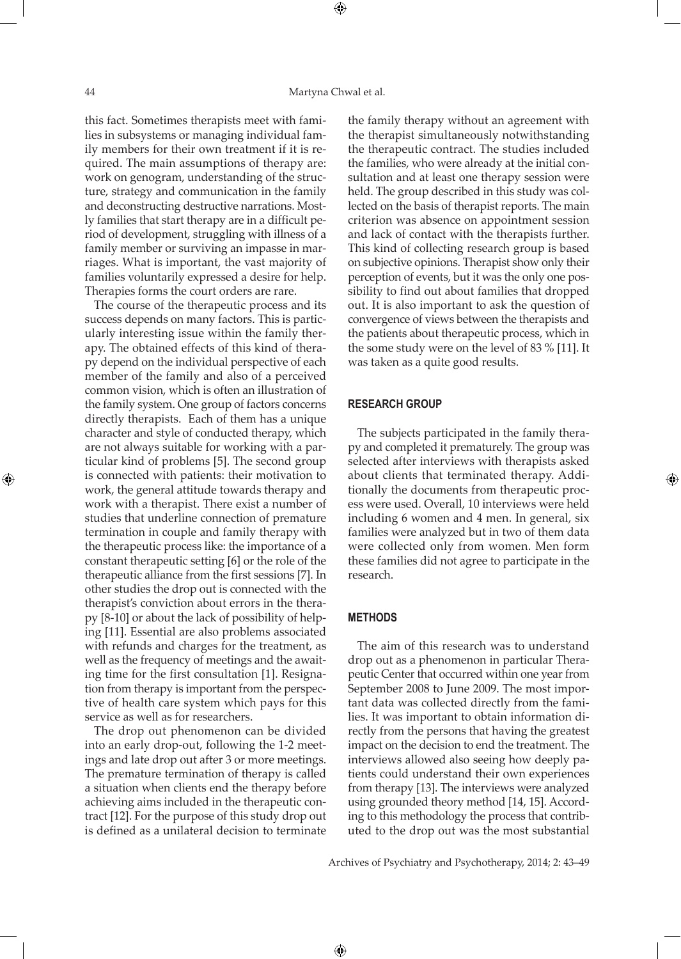this fact. Sometimes therapists meet with families in subsystems or managing individual family members for their own treatment if it is required. The main assumptions of therapy are: work on genogram, understanding of the structure, strategy and communication in the family and deconstructing destructive narrations. Mostly families that start therapy are in a difficult period of development, struggling with illness of a family member or surviving an impasse in marriages. What is important, the vast majority of families voluntarily expressed a desire for help. Therapies forms the court orders are rare.

The course of the therapeutic process and its success depends on many factors. This is particularly interesting issue within the family therapy. The obtained effects of this kind of therapy depend on the individual perspective of each member of the family and also of a perceived common vision, which is often an illustration of the family system. One group of factors concerns directly therapists. Each of them has a unique character and style of conducted therapy, which are not always suitable for working with a particular kind of problems [5]. The second group is connected with patients: their motivation to work, the general attitude towards therapy and work with a therapist. There exist a number of studies that underline connection of premature termination in couple and family therapy with the therapeutic process like: the importance of a constant therapeutic setting [6] or the role of the therapeutic alliance from the first sessions [7]. In other studies the drop out is connected with the therapist's conviction about errors in the therapy [8-10] or about the lack of possibility of helping [11]. Essential are also problems associated with refunds and charges for the treatment, as well as the frequency of meetings and the awaiting time for the first consultation [1]. Resignation from therapy is important from the perspective of health care system which pays for this service as well as for researchers.

The drop out phenomenon can be divided into an early drop-out, following the 1-2 meetings and late drop out after 3 or more meetings. The premature termination of therapy is called a situation when clients end the therapy before achieving aims included in the therapeutic contract [12]. For the purpose of this study drop out is defined as a unilateral decision to terminate

the family therapy without an agreement with the therapist simultaneously notwithstanding the therapeutic contract. The studies included the families, who were already at the initial consultation and at least one therapy session were held. The group described in this study was collected on the basis of therapist reports. The main criterion was absence on appointment session and lack of contact with the therapists further. This kind of collecting research group is based on subjective opinions. Therapist show only their perception of events, but it was the only one possibility to find out about families that dropped out. It is also important to ask the question of convergence of views between the therapists and the patients about therapeutic process, which in the some study were on the level of 83 % [11]. It was taken as a quite good results.

## **Research group**

The subjects participated in the family therapy and completed it prematurely. The group was selected after interviews with therapists asked about clients that terminated therapy. Additionally the documents from therapeutic process were used. Overall, 10 interviews were held including 6 women and 4 men. In general, six families were analyzed but in two of them data were collected only from women. Men form these families did not agree to participate in the research.

## **Methods**

⊕

The aim of this research was to understand drop out as a phenomenon in particular Therapeutic Center that occurred within one year from September 2008 to June 2009. The most important data was collected directly from the families. It was important to obtain information directly from the persons that having the greatest impact on the decision to end the treatment. The interviews allowed also seeing how deeply patients could understand their own experiences from therapy [13]. The interviews were analyzed using grounded theory method [14, 15]. According to this methodology the process that contributed to the drop out was the most substantial

Archives of Psychiatry and Psychotherapy, 2014; 2: 43–49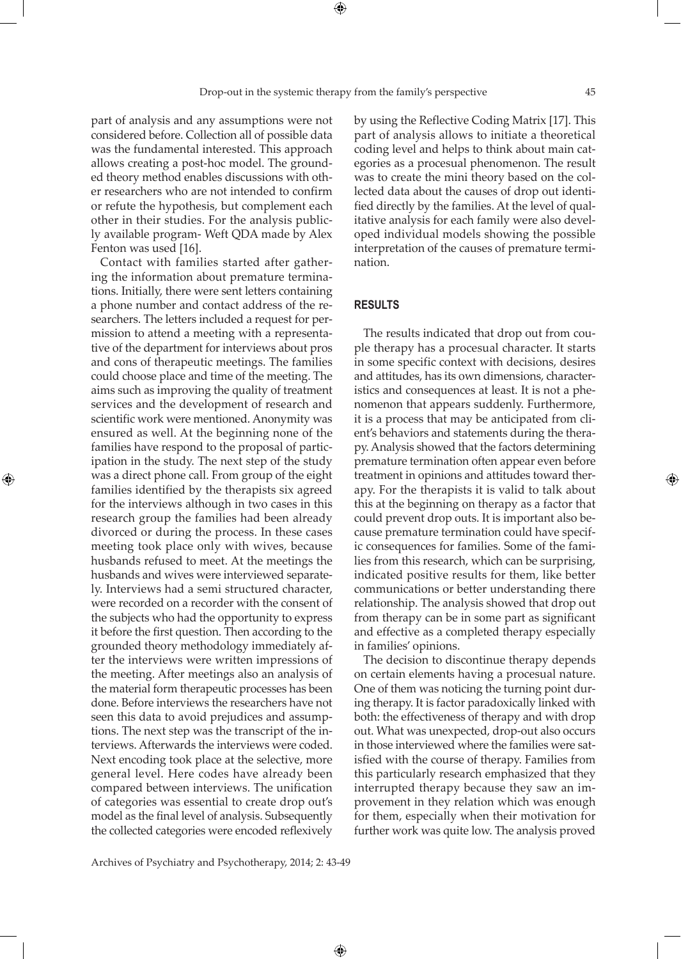part of analysis and any assumptions were not considered before. Collection all of possible data was the fundamental interested. This approach allows creating a post-hoc model. The grounded theory method enables discussions with other researchers who are not intended to confirm or refute the hypothesis, but complement each other in their studies. For the analysis publicly available program- Weft QDA made by Alex Fenton was used [16].

Contact with families started after gathering the information about premature terminations. Initially, there were sent letters containing a phone number and contact address of the researchers. The letters included a request for permission to attend a meeting with a representative of the department for interviews about pros and cons of therapeutic meetings. The families could choose place and time of the meeting. The aims such as improving the quality of treatment services and the development of research and scientific work were mentioned. Anonymity was ensured as well. At the beginning none of the families have respond to the proposal of participation in the study. The next step of the study was a direct phone call. From group of the eight families identified by the therapists six agreed for the interviews although in two cases in this research group the families had been already divorced or during the process. In these cases meeting took place only with wives, because husbands refused to meet. At the meetings the husbands and wives were interviewed separately. Interviews had a semi structured character, were recorded on a recorder with the consent of the subjects who had the opportunity to express it before the first question. Then according to the grounded theory methodology immediately after the interviews were written impressions of the meeting. After meetings also an analysis of the material form therapeutic processes has been done. Before interviews the researchers have not seen this data to avoid prejudices and assumptions. The next step was the transcript of the interviews. Afterwards the interviews were coded. Next encoding took place at the selective, more general level. Here codes have already been compared between interviews. The unification of categories was essential to create drop out's model as the final level of analysis. Subsequently the collected categories were encoded reflexively

⊕

by using the Reflective Coding Matrix [17]. This part of analysis allows to initiate a theoretical coding level and helps to think about main categories as a procesual phenomenon. The result was to create the mini theory based on the collected data about the causes of drop out identified directly by the families. At the level of qualitative analysis for each family were also developed individual models showing the possible interpretation of the causes of premature termination.

# **Results**

The results indicated that drop out from couple therapy has a procesual character. It starts in some specific context with decisions, desires and attitudes, has its own dimensions, characteristics and consequences at least. It is not a phenomenon that appears suddenly. Furthermore, it is a process that may be anticipated from client's behaviors and statements during the therapy. Analysis showed that the factors determining premature termination often appear even before treatment in opinions and attitudes toward therapy. For the therapists it is valid to talk about this at the beginning on therapy as a factor that could prevent drop outs. It is important also because premature termination could have specific consequences for families. Some of the families from this research, which can be surprising, indicated positive results for them, like better communications or better understanding there relationship. The analysis showed that drop out from therapy can be in some part as significant and effective as a completed therapy especially in families' opinions.

The decision to discontinue therapy depends on certain elements having a procesual nature. One of them was noticing the turning point during therapy. It is factor paradoxically linked with both: the effectiveness of therapy and with drop out. What was unexpected, drop-out also occurs in those interviewed where the families were satisfied with the course of therapy. Families from this particularly research emphasized that they interrupted therapy because they saw an improvement in they relation which was enough for them, especially when their motivation for further work was quite low. The analysis proved

Archives of Psychiatry and Psychotherapy, 2014; 2: 43-49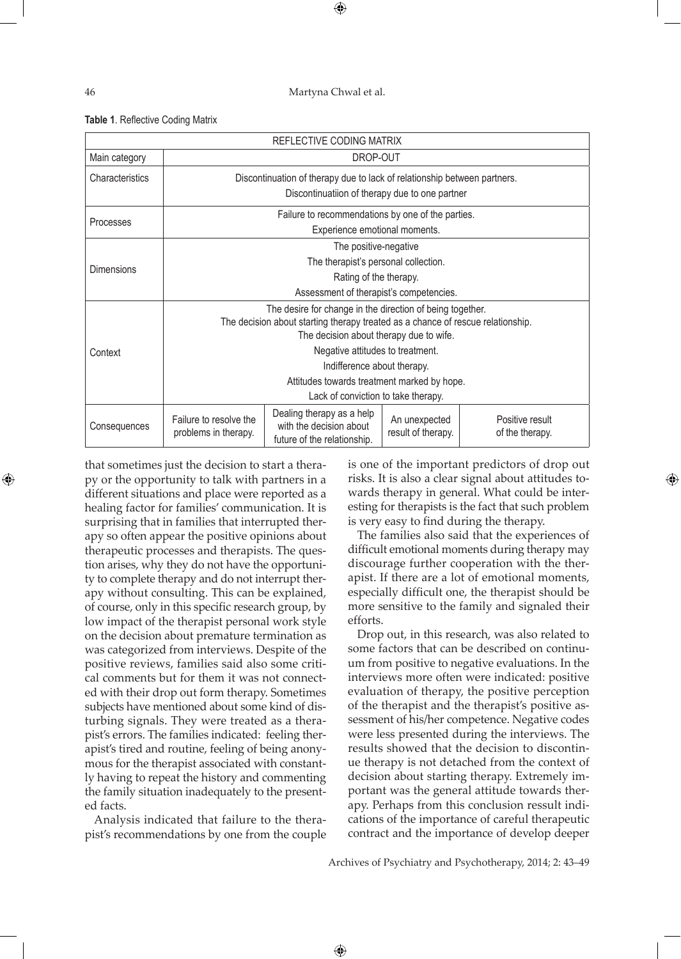⊕

|  | Table 1. Reflective Coding Matrix |  |  |
|--|-----------------------------------|--|--|
|--|-----------------------------------|--|--|

| REFLECTIVE CODING MATRIX |                                                                                 |                                                                                     |                                     |                                    |  |  |
|--------------------------|---------------------------------------------------------------------------------|-------------------------------------------------------------------------------------|-------------------------------------|------------------------------------|--|--|
| Main category            | DROP-OUT                                                                        |                                                                                     |                                     |                                    |  |  |
| Characteristics          | Discontinuation of therapy due to lack of relationship between partners.        |                                                                                     |                                     |                                    |  |  |
|                          | Discontinuatiion of therapy due to one partner                                  |                                                                                     |                                     |                                    |  |  |
|                          | Failure to recommendations by one of the parties.                               |                                                                                     |                                     |                                    |  |  |
| Processes                | Experience emotional moments.                                                   |                                                                                     |                                     |                                    |  |  |
| <b>Dimensions</b>        | The positive-negative                                                           |                                                                                     |                                     |                                    |  |  |
|                          | The therapist's personal collection.                                            |                                                                                     |                                     |                                    |  |  |
|                          | Rating of the therapy.                                                          |                                                                                     |                                     |                                    |  |  |
|                          | Assessment of therapist's competencies.                                         |                                                                                     |                                     |                                    |  |  |
| Context                  | The desire for change in the direction of being together.                       |                                                                                     |                                     |                                    |  |  |
|                          | The decision about starting therapy treated as a chance of rescue relationship. |                                                                                     |                                     |                                    |  |  |
|                          | The decision about therapy due to wife.                                         |                                                                                     |                                     |                                    |  |  |
|                          | Negative attitudes to treatment.                                                |                                                                                     |                                     |                                    |  |  |
|                          | Indifference about therapy.                                                     |                                                                                     |                                     |                                    |  |  |
|                          | Attitudes towards treatment marked by hope.                                     |                                                                                     |                                     |                                    |  |  |
|                          | Lack of conviction to take therapy.                                             |                                                                                     |                                     |                                    |  |  |
| Consequences             | Failure to resolve the<br>problems in therapy.                                  | Dealing therapy as a help<br>with the decision about<br>future of the relationship. | An unexpected<br>result of therapy. | Positive result<br>of the therapy. |  |  |

 $\bigoplus$ 

that sometimes just the decision to start a therapy or the opportunity to talk with partners in a different situations and place were reported as a healing factor for families' communication. It is surprising that in families that interrupted therapy so often appear the positive opinions about therapeutic processes and therapists. The question arises, why they do not have the opportunity to complete therapy and do not interrupt therapy without consulting. This can be explained, of course, only in this specific research group, by low impact of the therapist personal work style on the decision about premature termination as was categorized from interviews. Despite of the positive reviews, families said also some critical comments but for them it was not connected with their drop out form therapy. Sometimes subjects have mentioned about some kind of disturbing signals. They were treated as a therapist's errors. The families indicated: feeling therapist's tired and routine, feeling of being anonymous for the therapist associated with constantly having to repeat the history and commenting the family situation inadequately to the presented facts.

Analysis indicated that failure to the therapist's recommendations by one from the couple

is one of the important predictors of drop out risks. It is also a clear signal about attitudes towards therapy in general. What could be interesting for therapists is the fact that such problem is very easy to find during the therapy.

The families also said that the experiences of difficult emotional moments during therapy may discourage further cooperation with the therapist. If there are a lot of emotional moments, especially difficult one, the therapist should be more sensitive to the family and signaled their efforts.

Drop out, in this research, was also related to some factors that can be described on continuum from positive to negative evaluations. In the interviews more often were indicated: positive evaluation of therapy, the positive perception of the therapist and the therapist's positive assessment of his/her competence. Negative codes were less presented during the interviews. The results showed that the decision to discontinue therapy is not detached from the context of decision about starting therapy. Extremely important was the general attitude towards therapy. Perhaps from this conclusion ressult indications of the importance of careful therapeutic contract and the importance of develop deeper

Archives of Psychiatry and Psychotherapy, 2014; 2: 43–49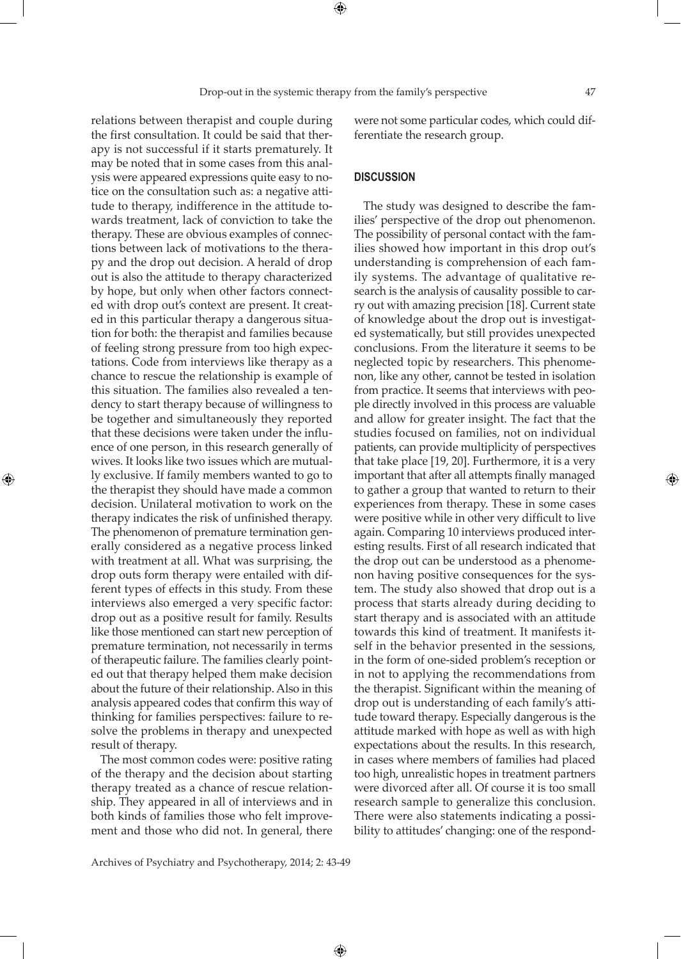relations between therapist and couple during the first consultation. It could be said that therapy is not successful if it starts prematurely. It may be noted that in some cases from this analysis were appeared expressions quite easy to notice on the consultation such as: a negative attitude to therapy, indifference in the attitude towards treatment, lack of conviction to take the therapy. These are obvious examples of connections between lack of motivations to the therapy and the drop out decision. A herald of drop out is also the attitude to therapy characterized by hope, but only when other factors connected with drop out's context are present. It created in this particular therapy a dangerous situation for both: the therapist and families because of feeling strong pressure from too high expectations. Code from interviews like therapy as a chance to rescue the relationship is example of this situation. The families also revealed a tendency to start therapy because of willingness to be together and simultaneously they reported that these decisions were taken under the influence of one person, in this research generally of wives. It looks like two issues which are mutually exclusive. If family members wanted to go to the therapist they should have made a common decision. Unilateral motivation to work on the therapy indicates the risk of unfinished therapy. The phenomenon of premature termination generally considered as a negative process linked with treatment at all. What was surprising, the drop outs form therapy were entailed with different types of effects in this study. From these interviews also emerged a very specific factor: drop out as a positive result for family. Results like those mentioned can start new perception of premature termination, not necessarily in terms of therapeutic failure. The families clearly pointed out that therapy helped them make decision about the future of their relationship. Also in this analysis appeared codes that confirm this way of thinking for families perspectives: failure to resolve the problems in therapy and unexpected result of therapy.

⊕

The most common codes were: positive rating of the therapy and the decision about starting therapy treated as a chance of rescue relationship. They appeared in all of interviews and in both kinds of families those who felt improvement and those who did not. In general, there

were not some particular codes, which could differentiate the research group.

# **Discussion**

The study was designed to describe the families' perspective of the drop out phenomenon. The possibility of personal contact with the families showed how important in this drop out's understanding is comprehension of each family systems. The advantage of qualitative research is the analysis of causality possible to carry out with amazing precision [18]. Current state of knowledge about the drop out is investigated systematically, but still provides unexpected conclusions. From the literature it seems to be neglected topic by researchers. This phenomenon, like any other, cannot be tested in isolation from practice. It seems that interviews with people directly involved in this process are valuable and allow for greater insight. The fact that the studies focused on families, not on individual patients, can provide multiplicity of perspectives that take place [19, 20]. Furthermore, it is a very important that after all attempts finally managed to gather a group that wanted to return to their experiences from therapy. These in some cases were positive while in other very difficult to live again. Comparing 10 interviews produced interesting results. First of all research indicated that the drop out can be understood as a phenomenon having positive consequences for the system. The study also showed that drop out is a process that starts already during deciding to start therapy and is associated with an attitude towards this kind of treatment. It manifests itself in the behavior presented in the sessions, in the form of one-sided problem's reception or in not to applying the recommendations from the therapist. Significant within the meaning of drop out is understanding of each family's attitude toward therapy. Especially dangerous is the attitude marked with hope as well as with high expectations about the results. In this research, in cases where members of families had placed too high, unrealistic hopes in treatment partners were divorced after all. Of course it is too small research sample to generalize this conclusion. There were also statements indicating a possibility to attitudes' changing: one of the respond-

Archives of Psychiatry and Psychotherapy, 2014; 2: 43-49

 $\bigoplus$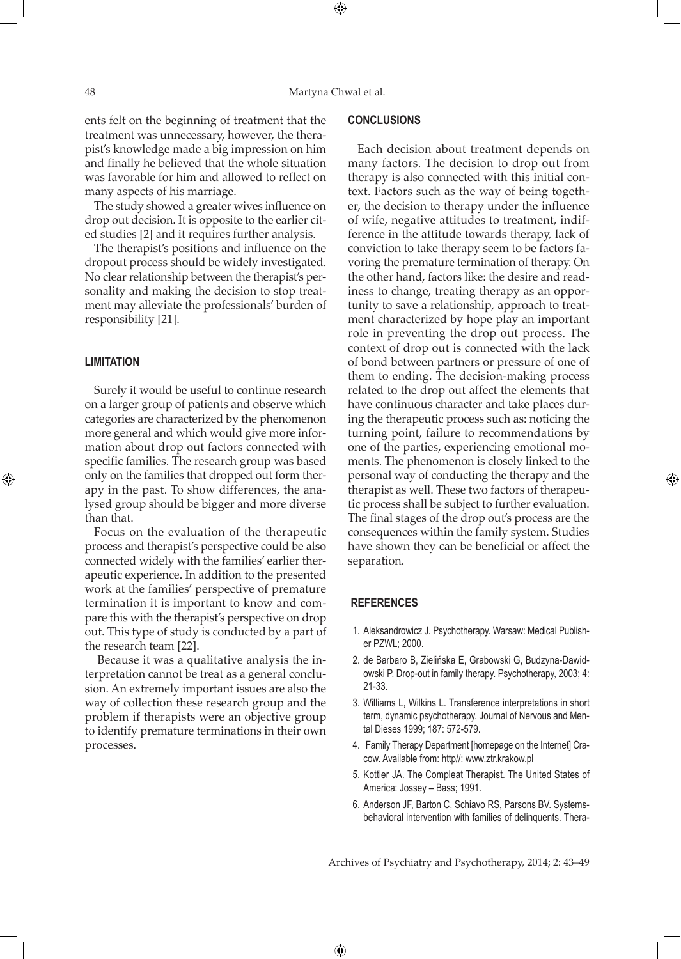$\bigoplus$ 

ents felt on the beginning of treatment that the treatment was unnecessary, however, the therapist's knowledge made a big impression on him and finally he believed that the whole situation was favorable for him and allowed to reflect on many aspects of his marriage.

The study showed a greater wives influence on drop out decision. It is opposite to the earlier cited studies [2] and it requires further analysis.

The therapist's positions and influence on the dropout process should be widely investigated. No clear relationship between the therapist's personality and making the decision to stop treatment may alleviate the professionals' burden of responsibility [21].

### **Limitation**

⊕

Surely it would be useful to continue research on a larger group of patients and observe which categories are characterized by the phenomenon more general and which would give more information about drop out factors connected with specific families. The research group was based only on the families that dropped out form therapy in the past. To show differences, the analysed group should be bigger and more diverse than that.

Focus on the evaluation of the therapeutic process and therapist's perspective could be also connected widely with the families' earlier therapeutic experience. In addition to the presented work at the families' perspective of premature termination it is important to know and compare this with the therapist's perspective on drop out. This type of study is conducted by a part of the research team [22].

 Because it was a qualitative analysis the interpretation cannot be treat as a general conclusion. An extremely important issues are also the way of collection these research group and the problem if therapists were an objective group to identify premature terminations in their own processes.

## **Conclusions**

Each decision about treatment depends on many factors. The decision to drop out from therapy is also connected with this initial context. Factors such as the way of being together, the decision to therapy under the influence of wife, negative attitudes to treatment, indifference in the attitude towards therapy, lack of conviction to take therapy seem to be factors favoring the premature termination of therapy. On the other hand, factors like: the desire and readiness to change, treating therapy as an opportunity to save a relationship, approach to treatment characterized by hope play an important role in preventing the drop out process. The context of drop out is connected with the lack of bond between partners or pressure of one of them to ending. The decision-making process related to the drop out affect the elements that have continuous character and take places during the therapeutic process such as: noticing the turning point, failure to recommendations by one of the parties, experiencing emotional moments. The phenomenon is closely linked to the personal way of conducting the therapy and the therapist as well. These two factors of therapeutic process shall be subject to further evaluation. The final stages of the drop out's process are the consequences within the family system. Studies have shown they can be beneficial or affect the separation.

⊕

## **References**

 $\bigoplus$ 

- 1. Aleksandrowicz J. Psychotherapy. Warsaw: Medical Publisher PZWL; 2000.
- 2. de Barbaro B, Zielińska E, Grabowski G, Budzyna-Dawidowski P. Drop-out in family therapy. Psychotherapy, 2003; 4: 21-33.
- 3. Williams L, Wilkins L. Transference interpretations in short term, dynamic psychotherapy. Journal of Nervous and Mental Dieses 1999; 187: 572-579.
- 4. Family Therapy Department [homepage on the Internet] Cracow. Available from: http//: www.ztr.krakow.pl
- 5. Kottler JA. The Compleat Therapist. The United States of America: Jossey – Bass; 1991.
- 6. Anderson JF, Barton C, Schiavo RS, Parsons BV. Systemsbehavioral intervention with families of delinquents. Thera-

Archives of Psychiatry and Psychotherapy, 2014; 2: 43–49